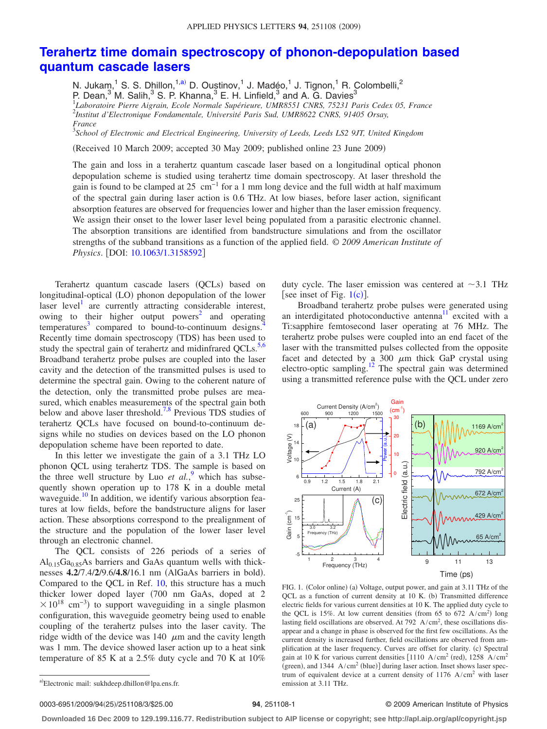## **[Terahertz time domain spectroscopy of phonon-depopulation based](http://dx.doi.org/10.1063/1.3158592) [quantum cascade lasers](http://dx.doi.org/10.1063/1.3158592)**

N. Jukam,<sup>1</sup> S. S. Dhillon,<sup>1[,a](#page-0-0))</sup> D. Oustinov,<sup>1</sup> J. Madéo,<sup>1</sup> J. Tignon,<sup>1</sup> R. Colombelli,<sup>2</sup> P. Dean,<sup>3</sup> M. Salih,<sup>3</sup> S. P. Khanna,<sup>3</sup> E. H. Linfield,<sup>3</sup> and A. G. Davies<sup>3</sup><br><sup>1</sup>Laboratoire Pierre Aigrain, Ecole Normale Supérieure, UMR8551 CNRS, 75231 Paris Cedex 05, France 2 *Institut d'Electronique Fondamentale, Université Paris Sud, UMR8622 CNRS, 91405 Orsay, France*

3 *School of Electronic and Electrical Engineering, University of Leeds, Leeds LS2 9JT, United Kingdom*

Received 10 March 2009; accepted 30 May 2009; published online 23 June 2009-

The gain and loss in a terahertz quantum cascade laser based on a longitudinal optical phonon depopulation scheme is studied using terahertz time domain spectroscopy. At laser threshold the gain is found to be clamped at 25 cm<sup>-1</sup> for a 1 mm long device and the full width at half maximum of the spectral gain during laser action is 0.6 THz. At low biases, before laser action, significant absorption features are observed for frequencies lower and higher than the laser emission frequency. We assign their onset to the lower laser level being populated from a parasitic electronic channel. The absorption transitions are identified from bandstructure simulations and from the oscillator strengths of the subband transitions as a function of the applied field. © *2009 American Institute of Physics.* [DOI: [10.1063/1.3158592](http://dx.doi.org/10.1063/1.3158592)]

Terahertz quantum cascade lasers (QCLs) based on longitudinal-optical (LO) phonon depopulation of the lower laser level<sup>1</sup> are currently attracting considerable interest, owing to their higher output powers<sup>2</sup> and operating  $temperatures<sup>3</sup> compared to bound-to-continuum designs<sup>7</sup>$ Recently time domain spectroscopy (TDS) has been used to study the spectral gain of terahertz and midinfrared  $QCLs$ .<sup>5[,6](#page-2-5)</sup> Broadband terahertz probe pulses are coupled into the laser cavity and the detection of the transmitted pulses is used to determine the spectral gain. Owing to the coherent nature of the detection, only the transmitted probe pulses are measured, which enables measurements of the spectral gain both below and above laser threshold[.7](#page-2-6)[,8](#page-2-7) Previous TDS studies of terahertz QCLs have focused on bound-to-continuum designs while no studies on devices based on the LO phonon depopulation scheme have been reported to date.

In this letter we investigate the gain of a 3.1 THz LO phonon QCL using terahertz TDS. The sample is based on the three well structure by Luo  $et \ al.^9$  $et \ al.^9$  which has subsequently shown operation up to 178 K in a double metal waveguide.<sup>10</sup> In addition, we identify various absorption features at low fields, before the bandstructure aligns for laser action. These absorptions correspond to the prealignment of the structure and the population of the lower laser level through an electronic channel.

The QCL consists of 226 periods of a series of  $Al<sub>0.15</sub>Ga<sub>0.85</sub>As barriers and GaAs quantum wells with thick$ nesses **4.2/7.4/2/9.6/4.8/16.1** nm (AlGaAs barriers in bold). Compared to the QCL in Ref. [10,](#page-2-9) this structure has a much thicker lower doped layer (700 nm GaAs, doped at 2  $\times 10^{18}$  cm<sup>-3</sup>) to support waveguiding in a single plasmon configuration, this waveguide geometry being used to enable coupling of the terahertz pulses into the laser cavity. The ridge width of the device was 140  $\mu$ m and the cavity length was 1 mm. The device showed laser action up to a heat sink temperature of 85 K at a 2.5% duty cycle and 70 K at 10%

duty cycle. The laser emission was centered at  $\sim$ 3.1 THz [see inset of Fig.  $1(c)$  $1(c)$ ].

Broadband terahertz probe pulses were generated using an interdigitated photoconductive antenna<sup>11</sup> excited with a Ti:sapphire femtosecond laser operating at 76 MHz. The terahertz probe pulses were coupled into an end facet of the laser with the transmitted pulses collected from the opposite facet and detected by a 300  $\mu$ m thick GaP crystal using electro-optic sampling[.12](#page-2-11) The spectral gain was determined using a transmitted reference pulse with the QCL under zero

<span id="page-0-1"></span>

FIG. 1. (Color online) (a) Voltage, output power, and gain at 3.11 THz of the QCL as a function of current density at 10 K. (b) Transmitted difference electric fields for various current densities at 10 K. The applied duty cycle to the QCL is 15%. At low current densities (from 65 to 672  $A/cm<sup>2</sup>$ ) long lasting field oscillations are observed. At  $792 \text{ A/cm}^2$ , these oscillations disappear and a change in phase is observed for the first few oscillations. As the current density is increased further, field oscillations are observed from amplification at the laser frequency. Curves are offset for clarity. (c) Spectral gain at 10 K for various current densities  $[1110 \text{ A/cm}^2 \text{ (red)}, 1258 \text{ A/cm}^2$ (green), and 1344  $A/cm<sup>2</sup>$  (blue)] during laser action. Inset shows laser spectrum of equivalent device at a current density of  $1176$  A/cm<sup>2</sup> with laser emission at 3.11 THz.

0003-6951/2009/94(25)/251108/3/\$25.00

## **251108-1 251108-1 2009 American Institute of Physics**

**Downloaded 16 Dec 2009 to 129.199.116.77. Redistribution subject to AIP license or copyright; see http://apl.aip.org/apl/copyright.jsp**

<span id="page-0-0"></span>a)Electronic mail: sukhdeep.dhillon@lpa.ens.fr.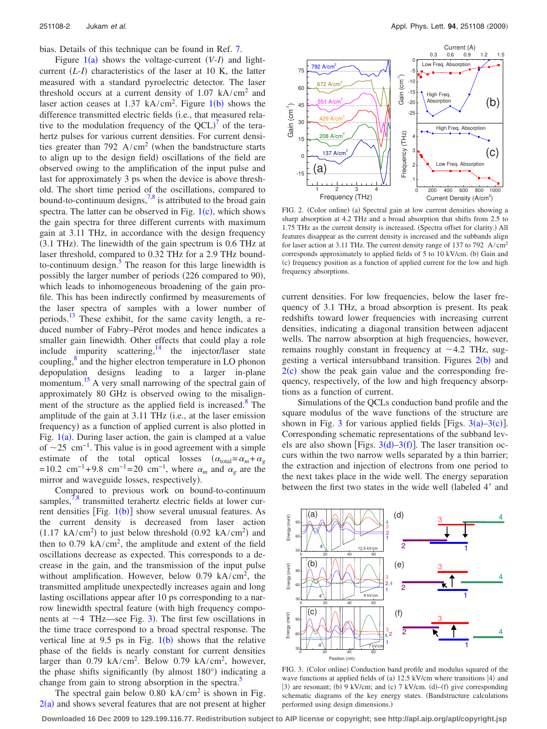bias. Details of this technique can be found in Ref. [7.](#page-2-6)

Figure  $1(a)$  $1(a)$  shows the voltage-current  $(V-I)$  and lightcurrent  $(L-I)$  characteristics of the laser at 10 K, the latter measured with a standard pyroelectric detector. The laser threshold occurs at a current density of  $1.07 \text{ kA/cm}^2$  and laser action ceases at  $1.37 \text{ kA/cm}^2$  $1.37 \text{ kA/cm}^2$ . Figure  $1(b)$  shows the difference transmitted electric fields (i.e., that measured relative to the modulation frequency of the  $\text{QCL}$ <sup>[7](#page-2-6)</sup> of the terahertz pulses for various current densities. For current densities greater than 792  $A/cm<sup>2</sup>$  (when the bandstructure starts to align up to the design field) oscillations of the field are observed owing to the amplification of the input pulse and last for approximately 3 ps when the device is above threshold. The short time period of the oscillations, compared to bound-to-continuum designs, $7.8$  is attributed to the broad gain spectra. The latter can be observed in Fig.  $1(c)$  $1(c)$ , which shows the gain spectra for three different currents with maximum gain at 3.11 THz, in accordance with the design frequency  $(3.1 \text{ THz})$ . The linewidth of the gain spectrum is 0.6 THz at laser threshold, compared to 0.32 THz for a 2.9 THz boundto-continuum design. $5$  The reason for this large linewidth is possibly the larger number of periods (226 compared to 90), which leads to inhomogeneous broadening of the gain profile. This has been indirectly confirmed by measurements of the laser spectra of samples with a lower number of periods.<sup>13</sup> These exhibit, for the same cavity length, a reduced number of Fabry–Pérot modes and hence indicates a smaller gain linewidth. Other effects that could play a role include impurity scattering,<sup>14</sup> the injector/laser state coupling,<sup>8</sup> and the higher electron temperature in LO phonon depopulation designs leading to a larger in-plane momentum.<sup>15</sup> A very small narrowing of the spectral gain of approximately 80 GHz is observed owing to the misalignment of the structure as the applied field is increased. $\delta$  The amplitude of the gain at  $3.11$  THz (i.e., at the laser emission frequency) as a function of applied current is also plotted in Fig.  $1(a)$  $1(a)$ . During laser action, the gain is clamped at a value of  $\sim$ 25 cm<sup>-1</sup>. This value is in good agreement with a simple estimate of the total optical losses  $(\alpha_{\text{total}} = \alpha_m + \alpha_g)$ =10.2 cm<sup>-1</sup>+9.8 cm<sup>-1</sup>=20 cm<sup>-1</sup>, where  $\alpha_m$  and  $\alpha_g$  are the mirror and waveguide losses, respectively).

Compared to previous work on bound-to-continuum samples, $7,8$  $7,8$  transmitted terahertz electric fields at lower current densities  $[Fig. 1(b)]$  $[Fig. 1(b)]$  $[Fig. 1(b)]$  show several unusual features. As the current density is decreased from laser action  $(1.17 \text{ kA/cm}^2)$  to just below threshold  $(0.92 \text{ kA/cm}^2)$  and then to 0.79  $kA/cm^2$ , the amplitude and extent of the field oscillations decrease as expected. This corresponds to a decrease in the gain, and the transmission of the input pulse without amplification. However, below  $0.79$  kA/cm<sup>2</sup>, the transmitted amplitude unexpectedly increases again and long lasting oscillations appear after 10 ps corresponding to a narrow linewidth spectral feature (with high frequency components at  $\sim$  4 THz—see Fig. [3](#page-1-0)). The first few oscillations in the time trace correspond to a broad spectral response. The vertical line at 9.5 ps in Fig.  $1(b)$  $1(b)$  shows that the relative phase of the fields is nearly constant for current densities larger than 0.79 kA/cm<sup>2</sup>. Below 0.79 kA/cm<sup>2</sup>, however, the phase shifts significantly (by almost 180°) indicating a change from gain to strong absorption in the spectra.<sup>5</sup>

The spectral gain below  $0.80 \text{ kA/cm}^2$  is shown in Fig.  $2(a)$  $2(a)$  and shows several features that are not present at higher

<span id="page-1-1"></span>

FIG. 2. (Color online) (a) Spectral gain at low current densities showing a sharp absorption at 4.2 THz and a broad absorption that shifts from 2.5 to 1.75 THz as the current density is increased. (Spectra offset for clarity.) All features disappear as the current density is increased and the subbands align for laser action at 3.11 THz. The current density range of 137 to 792 A/cm2 corresponds approximately to applied fields of 5 to 10 kV/cm. (b) Gain and (c) frequency position as a function of applied current for the low and high frequency absorptions.

current densities. For low frequencies, below the laser frequency of 3.1 THz, a broad absorption is present. Its peak redshifts toward lower frequencies with increasing current densities, indicating a diagonal transition between adjacent wells. The narrow absorption at high frequencies, however, remains roughly constant in frequency at  $\sim$  4.2 THz, suggesting a vertical intersubband transition. Figures  $2(b)$  $2(b)$  and  $2(c)$  $2(c)$  show the peak gain value and the corresponding frequency, respectively, of the low and high frequency absorptions as a function of current.

Simulations of the QCLs conduction band profile and the square modulus of the wave functions of the structure are shown in Fig. [3](#page-1-0) for various applied fields [Figs.  $3(a)-3(c)$ ]. Corresponding schematic representations of the subband levels are also shown [Figs.  $3(d) - 3(f)$  $3(d) - 3(f)$ ]. The laser transition occurs within the two narrow wells separated by a thin barrier; the extraction and injection of electrons from one period to the next takes place in the wide well. The energy separation between the first two states in the wide well (labeled 4' and

<span id="page-1-0"></span>

FIG. 3. (Color online) Conduction band profile and modulus squared of the wave functions at applied fields of (a) 12.5 kV/cm where transitions  $|4\rangle$  and  $|3\rangle$  are resonant; (b) 9 kV/cm; and (c) 7 kV/cm. (d)–(f) give corresponding schematic diagrams of the key energy states. (Bandstructure calculations performed using design dimensions.)

**Downloaded 16 Dec 2009 to 129.199.116.77. Redistribution subject to AIP license or copyright; see http://apl.aip.org/apl/copyright.jsp**